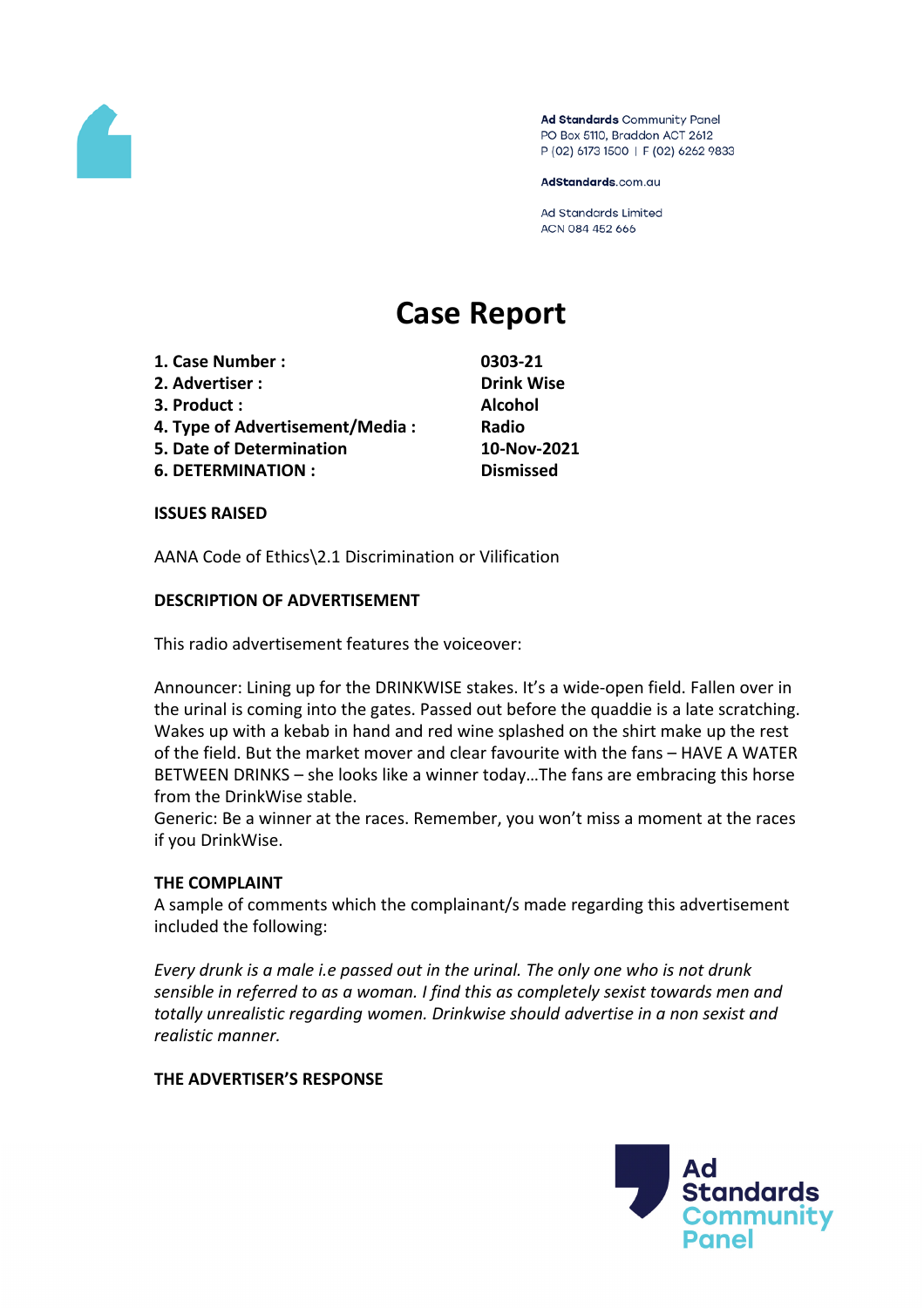

Ad Standards Community Panel PO Box 5110, Braddon ACT 2612 P (02) 6173 1500 | F (02) 6262 9833

AdStandards.com.au

Ad Standards Limited ACN 084 452 666

# **Case Report**

- **1. Case Number : 0303-21**
- **2. Advertiser : Drink Wise**
- **3. Product : Alcohol**
- **4. Type of Advertisement/Media : Radio**
- **5. Date of Determination 10-Nov-2021**
- **6. DETERMINATION : Dismissed**

**ISSUES RAISED**

AANA Code of Ethics\2.1 Discrimination or Vilification

### **DESCRIPTION OF ADVERTISEMENT**

This radio advertisement features the voiceover:

Announcer: Lining up for the DRINKWISE stakes. It's a wide-open field. Fallen over in the urinal is coming into the gates. Passed out before the quaddie is a late scratching. Wakes up with a kebab in hand and red wine splashed on the shirt make up the rest of the field. But the market mover and clear favourite with the fans – HAVE A WATER BETWEEN DRINKS – she looks like a winner today…The fans are embracing this horse from the DrinkWise stable.

Generic: Be a winner at the races. Remember, you won't miss a moment at the races if you DrinkWise.

#### **THE COMPLAINT**

A sample of comments which the complainant/s made regarding this advertisement included the following:

*Every drunk is a male i.e passed out in the urinal. The only one who is not drunk sensible in referred to as a woman. I find this as completely sexist towards men and totally unrealistic regarding women. Drinkwise should advertise in a non sexist and realistic manner.*

## **THE ADVERTISER'S RESPONSE**

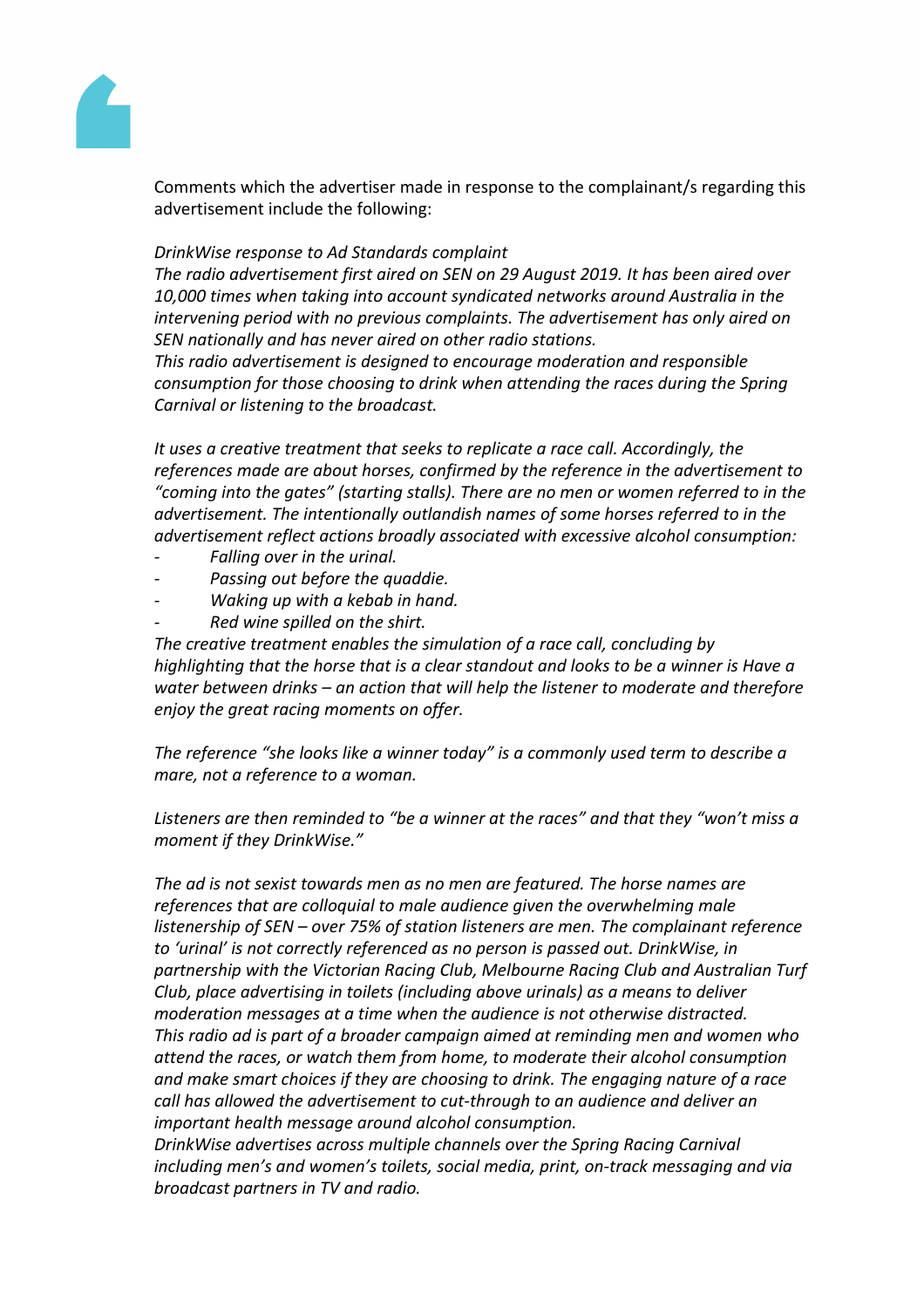

Comments which the advertiser made in response to the complainant/s regarding this advertisement include the following:

#### *DrinkWise response to Ad Standards complaint*

*The radio advertisement first aired on SEN on 29 August 2019. It has been aired over 10,000 times when taking into account syndicated networks around Australia in the intervening period with no previous complaints. The advertisement has only aired on SEN nationally and has never aired on other radio stations.*

*This radio advertisement is designed to encourage moderation and responsible consumption for those choosing to drink when attending the races during the Spring Carnival or listening to the broadcast.*

*It uses a creative treatment that seeks to replicate a race call. Accordingly, the references made are about horses, confirmed by the reference in the advertisement to "coming into the gates" (starting stalls). There are no men or women referred to in the advertisement. The intentionally outlandish names of some horses referred to in the advertisement reflect actions broadly associated with excessive alcohol consumption:* 

- *- Falling over in the urinal.*
- *- Passing out before the quaddie.*
- *- Waking up with a kebab in hand.*
- *- Red wine spilled on the shirt.*

*The creative treatment enables the simulation of a race call, concluding by highlighting that the horse that is a clear standout and looks to be a winner is Have a water between drinks – an action that will help the listener to moderate and therefore enjoy the great racing moments on offer.*

*The reference "she looks like a winner today" is a commonly used term to describe a mare, not a reference to a woman.*

*Listeners are then reminded to "be a winner at the races" and that they "won't miss a moment if they DrinkWise."*

*The ad is not sexist towards men as no men are featured. The horse names are references that are colloquial to male audience given the overwhelming male listenership of SEN – over 75% of station listeners are men. The complainant reference to 'urinal' is not correctly referenced as no person is passed out. DrinkWise, in partnership with the Victorian Racing Club, Melbourne Racing Club and Australian Turf Club, place advertising in toilets (including above urinals) as a means to deliver moderation messages at a time when the audience is not otherwise distracted. This radio ad is part of a broader campaign aimed at reminding men and women who attend the races, or watch them from home, to moderate their alcohol consumption and make smart choices if they are choosing to drink. The engaging nature of a race call has allowed the advertisement to cut-through to an audience and deliver an important health message around alcohol consumption.*

*DrinkWise advertises across multiple channels over the Spring Racing Carnival including men's and women's toilets, social media, print, on-track messaging and via broadcast partners in TV and radio.*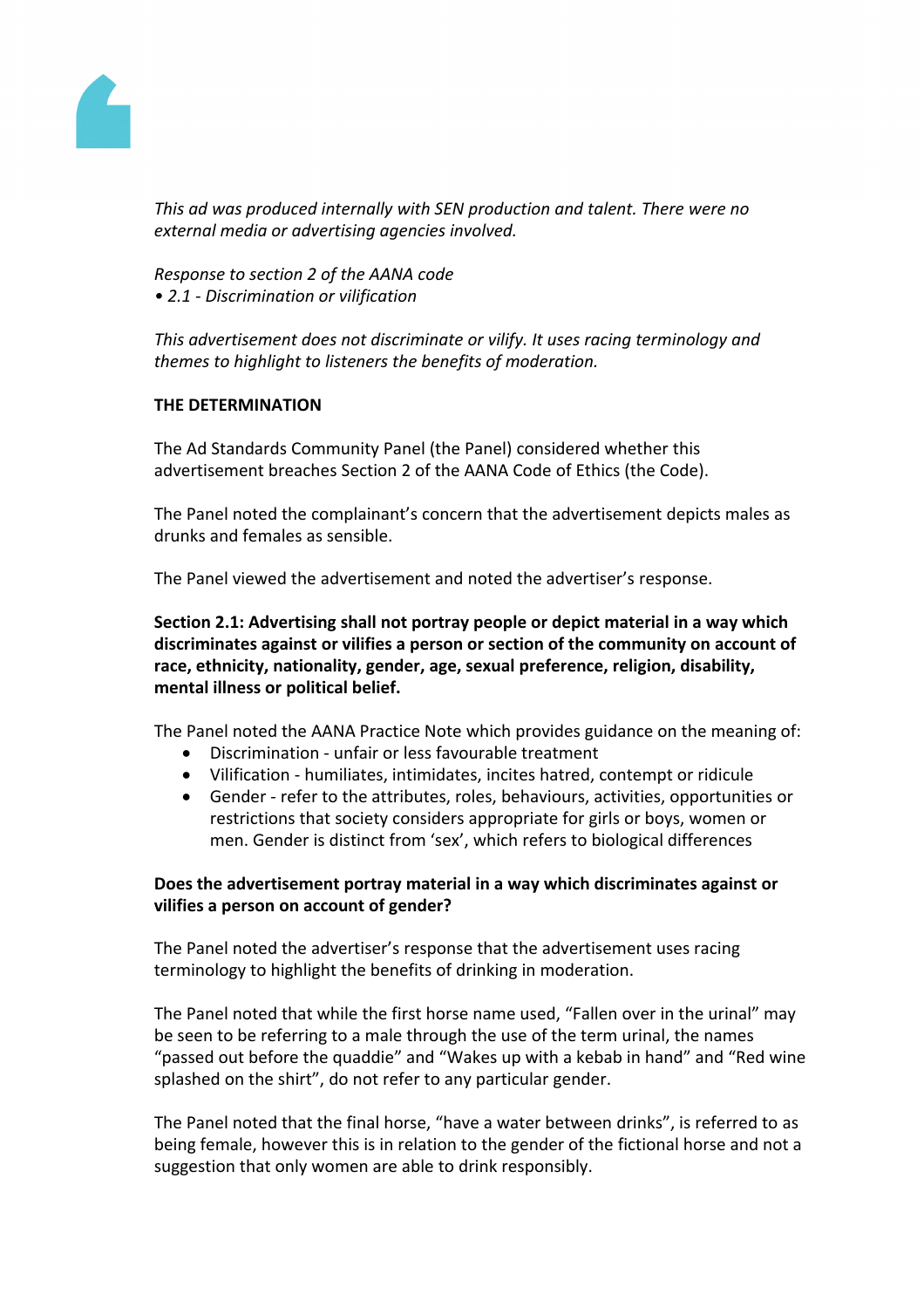

*This ad was produced internally with SEN production and talent. There were no external media or advertising agencies involved.*

*Response to section 2 of the AANA code • 2.1 - Discrimination or vilification*

*This advertisement does not discriminate or vilify. It uses racing terminology and themes to highlight to listeners the benefits of moderation.* 

#### **THE DETERMINATION**

The Ad Standards Community Panel (the Panel) considered whether this advertisement breaches Section 2 of the AANA Code of Ethics (the Code).

The Panel noted the complainant's concern that the advertisement depicts males as drunks and females as sensible.

The Panel viewed the advertisement and noted the advertiser's response.

**Section 2.1: Advertising shall not portray people or depict material in a way which discriminates against or vilifies a person or section of the community on account of race, ethnicity, nationality, gender, age, sexual preference, religion, disability, mental illness or political belief.**

The Panel noted the AANA Practice Note which provides guidance on the meaning of:

- Discrimination unfair or less favourable treatment
- Vilification humiliates, intimidates, incites hatred, contempt or ridicule
- Gender refer to the attributes, roles, behaviours, activities, opportunities or restrictions that society considers appropriate for girls or boys, women or men. Gender is distinct from 'sex', which refers to biological differences

### **Does the advertisement portray material in a way which discriminates against or vilifies a person on account of gender?**

The Panel noted the advertiser's response that the advertisement uses racing terminology to highlight the benefits of drinking in moderation.

The Panel noted that while the first horse name used, "Fallen over in the urinal" may be seen to be referring to a male through the use of the term urinal, the names "passed out before the quaddie" and "Wakes up with a kebab in hand" and "Red wine splashed on the shirt", do not refer to any particular gender.

The Panel noted that the final horse, "have a water between drinks", is referred to as being female, however this is in relation to the gender of the fictional horse and not a suggestion that only women are able to drink responsibly.